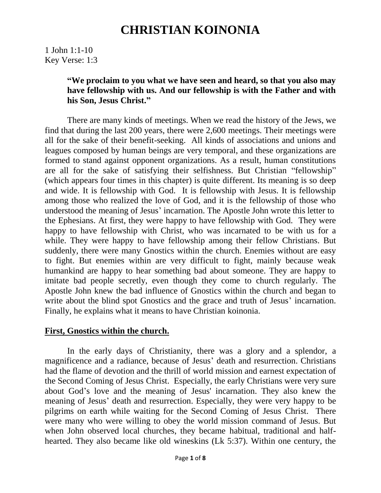1 John 1:1-10 Key Verse: 1:3

### **"We proclaim to you what we have seen and heard, so that you also may have fellowship with us. And our fellowship is with the Father and with his Son, Jesus Christ."**

 There are many kinds of meetings. When we read the history of the Jews, we find that during the last 200 years, there were 2,600 meetings. Their meetings were all for the sake of their benefit-seeking. All kinds of associations and unions and leagues composed by human beings are very temporal, and these organizations are formed to stand against opponent organizations. As a result, human constitutions are all for the sake of satisfying their selfishness. But Christian "fellowship" (which appears four times in this chapter) is quite different. Its meaning is so deep and wide. It is fellowship with God. It is fellowship with Jesus. It is fellowship among those who realized the love of God, and it is the fellowship of those who understood the meaning of Jesus' incarnation. The Apostle John wrote this letter to the Ephesians. At first, they were happy to have fellowship with God. They were happy to have fellowship with Christ, who was incarnated to be with us for a while. They were happy to have fellowship among their fellow Christians. But suddenly, there were many Gnostics within the church. Enemies without are easy to fight. But enemies within are very difficult to fight, mainly because weak humankind are happy to hear something bad about someone. They are happy to imitate bad people secretly, even though they come to church regularly. The Apostle John knew the bad influence of Gnostics within the church and began to write about the blind spot Gnostics and the grace and truth of Jesus' incarnation. Finally, he explains what it means to have Christian koinonia.

### **First, Gnostics within the church.**

 In the early days of Christianity, there was a glory and a splendor, a magnificence and a radiance, because of Jesus' death and resurrection. Christians had the flame of devotion and the thrill of world mission and earnest expectation of the Second Coming of Jesus Christ. Especially, the early Christians were very sure about God's love and the meaning of Jesus' incarnation. They also knew the meaning of Jesus' death and resurrection. Especially, they were very happy to be pilgrims on earth while waiting for the Second Coming of Jesus Christ. There were many who were willing to obey the world mission command of Jesus. But when John observed local churches, they became habitual, traditional and halfhearted. They also became like old wineskins (Lk 5:37). Within one century, the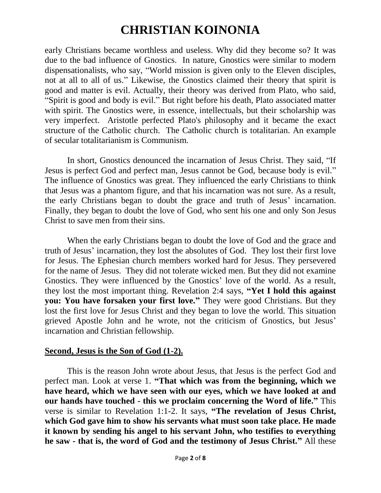early Christians became worthless and useless. Why did they become so? It was due to the bad influence of Gnostics. In nature, Gnostics were similar to modern dispensationalists, who say, "World mission is given only to the Eleven disciples, not at all to all of us." Likewise, the Gnostics claimed their theory that spirit is good and matter is evil. Actually, their theory was derived from Plato, who said, "Spirit is good and body is evil." But right before his death, Plato associated matter with spirit. The Gnostics were, in essence, intellectuals, but their scholarship was very imperfect. Aristotle perfected Plato's philosophy and it became the exact structure of the Catholic church. The Catholic church is totalitarian. An example of secular totalitarianism is Communism.

 In short, Gnostics denounced the incarnation of Jesus Christ. They said, "If Jesus is perfect God and perfect man, Jesus cannot be God, because body is evil." The influence of Gnostics was great. They influenced the early Christians to think that Jesus was a phantom figure, and that his incarnation was not sure. As a result, the early Christians began to doubt the grace and truth of Jesus' incarnation. Finally, they began to doubt the love of God, who sent his one and only Son Jesus Christ to save men from their sins.

 When the early Christians began to doubt the love of God and the grace and truth of Jesus' incarnation, they lost the absolutes of God. They lost their first love for Jesus. The Ephesian church members worked hard for Jesus. They persevered for the name of Jesus. They did not tolerate wicked men. But they did not examine Gnostics. They were influenced by the Gnostics' love of the world. As a result, they lost the most important thing. Revelation 2:4 says, **"Yet I hold this against you: You have forsaken your first love."** They were good Christians. But they lost the first love for Jesus Christ and they began to love the world. This situation grieved Apostle John and he wrote, not the criticism of Gnostics, but Jesus' incarnation and Christian fellowship.

#### **Second, Jesus is the Son of God (1-2).**

 This is the reason John wrote about Jesus, that Jesus is the perfect God and perfect man. Look at verse 1. **"That which was from the beginning, which we have heard, which we have seen with our eyes, which we have looked at and our hands have touched - this we proclaim concerning the Word of life."** This verse is similar to Revelation 1:1-2. It says, **"The revelation of Jesus Christ, which God gave him to show his servants what must soon take place. He made it known by sending his angel to his servant John, who testifies to everything he saw - that is, the word of God and the testimony of Jesus Christ."** All these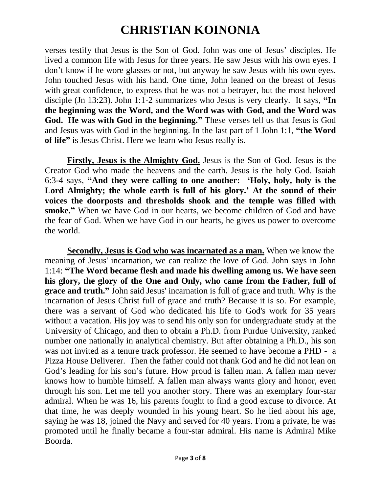verses testify that Jesus is the Son of God. John was one of Jesus' disciples. He lived a common life with Jesus for three years. He saw Jesus with his own eyes. I don't know if he wore glasses or not, but anyway he saw Jesus with his own eyes. John touched Jesus with his hand. One time, John leaned on the breast of Jesus with great confidence, to express that he was not a betrayer, but the most beloved disciple (Jn 13:23). John 1:1-2 summarizes who Jesus is very clearly. It says, **"In the beginning was the Word, and the Word was with God, and the Word was God. He was with God in the beginning."** These verses tell us that Jesus is God and Jesus was with God in the beginning. In the last part of 1 John 1:1, **"the Word of life"** is Jesus Christ. Here we learn who Jesus really is.

 **Firstly, Jesus is the Almighty God.** Jesus is the Son of God. Jesus is the Creator God who made the heavens and the earth. Jesus is the holy God. Isaiah 6:3-4 says, **"And they were calling to one another: 'Holy, holy, holy is the Lord Almighty; the whole earth is full of his glory.' At the sound of their voices the doorposts and thresholds shook and the temple was filled with smoke."** When we have God in our hearts, we become children of God and have the fear of God. When we have God in our hearts, he gives us power to overcome the world.

 **Secondly, Jesus is God who was incarnated as a man.** When we know the meaning of Jesus' incarnation, we can realize the love of God. John says in John 1:14: **"The Word became flesh and made his dwelling among us. We have seen his glory, the glory of the One and Only, who came from the Father, full of grace and truth."** John said Jesus' incarnation is full of grace and truth. Why is the incarnation of Jesus Christ full of grace and truth? Because it is so. For example, there was a servant of God who dedicated his life to God's work for 35 years without a vacation. His joy was to send his only son for undergraduate study at the University of Chicago, and then to obtain a Ph.D. from Purdue University, ranked number one nationally in analytical chemistry. But after obtaining a Ph.D., his son was not invited as a tenure track professor. He seemed to have become a PHD - a Pizza House Deliverer. Then the father could not thank God and he did not lean on God's leading for his son's future. How proud is fallen man. A fallen man never knows how to humble himself. A fallen man always wants glory and honor, even through his son. Let me tell you another story. There was an exemplary four-star admiral. When he was 16, his parents fought to find a good excuse to divorce. At that time, he was deeply wounded in his young heart. So he lied about his age, saying he was 18, joined the Navy and served for 40 years. From a private, he was promoted until he finally became a four-star admiral. His name is Admiral Mike Boorda.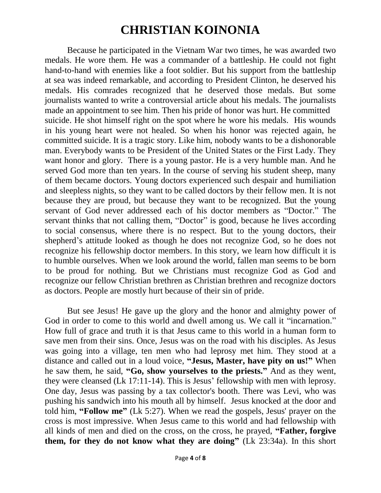Because he participated in the Vietnam War two times, he was awarded two medals. He wore them. He was a commander of a battleship. He could not fight hand-to-hand with enemies like a foot soldier. But his support from the battleship at sea was indeed remarkable, and according to President Clinton, he deserved his medals. His comrades recognized that he deserved those medals. But some journalists wanted to write a controversial article about his medals. The journalists made an appointment to see him. Then his pride of honor was hurt. He committed suicide. He shot himself right on the spot where he wore his medals. His wounds in his young heart were not healed. So when his honor was rejected again, he committed suicide. It is a tragic story. Like him, nobody wants to be a dishonorable man. Everybody wants to be President of the United States or the First Lady. They want honor and glory. There is a young pastor. He is a very humble man. And he served God more than ten years. In the course of serving his student sheep, many of them became doctors. Young doctors experienced such despair and humiliation and sleepless nights, so they want to be called doctors by their fellow men. It is not because they are proud, but because they want to be recognized. But the young servant of God never addressed each of his doctor members as "Doctor." The servant thinks that not calling them, "Doctor" is good, because he lives according to social consensus, where there is no respect. But to the young doctors, their shepherd's attitude looked as though he does not recognize God, so he does not recognize his fellowship doctor members. In this story, we learn how difficult it is to humble ourselves. When we look around the world, fallen man seems to be born to be proud for nothing. But we Christians must recognize God as God and recognize our fellow Christian brethren as Christian brethren and recognize doctors as doctors. People are mostly hurt because of their sin of pride.

 But see Jesus! He gave up the glory and the honor and almighty power of God in order to come to this world and dwell among us. We call it "incarnation." How full of grace and truth it is that Jesus came to this world in a human form to save men from their sins. Once, Jesus was on the road with his disciples. As Jesus was going into a village, ten men who had leprosy met him. They stood at a distance and called out in a loud voice, **"Jesus, Master, have pity on us!"** When he saw them, he said, **"Go, show yourselves to the priests."** And as they went, they were cleansed (Lk 17:11-14). This is Jesus' fellowship with men with leprosy. One day, Jesus was passing by a tax collector's booth. There was Levi, who was pushing his sandwich into his mouth all by himself. Jesus knocked at the door and told him, **"Follow me"** (Lk 5:27). When we read the gospels, Jesus' prayer on the cross is most impressive. When Jesus came to this world and had fellowship with all kinds of men and died on the cross, on the cross, he prayed, **"Father, forgive them, for they do not know what they are doing"** (Lk 23:34a). In this short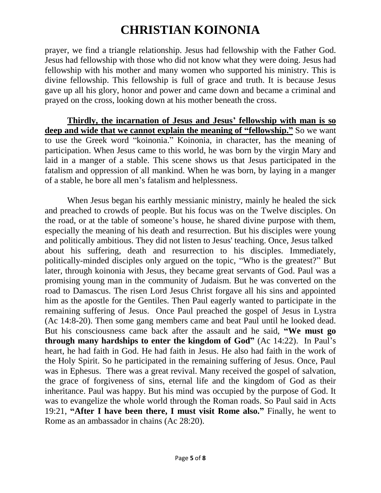prayer, we find a triangle relationship. Jesus had fellowship with the Father God. Jesus had fellowship with those who did not know what they were doing. Jesus had fellowship with his mother and many women who supported his ministry. This is divine fellowship. This fellowship is full of grace and truth. It is because Jesus gave up all his glory, honor and power and came down and became a criminal and prayed on the cross, looking down at his mother beneath the cross.

 **Thirdly, the incarnation of Jesus and Jesus' fellowship with man is so**  deep and wide that we cannot explain the meaning of "fellowship." So we want to use the Greek word "koinonia." Koinonia, in character, has the meaning of participation. When Jesus came to this world, he was born by the virgin Mary and laid in a manger of a stable. This scene shows us that Jesus participated in the fatalism and oppression of all mankind. When he was born, by laying in a manger of a stable, he bore all men's fatalism and helplessness.

When Jesus began his earthly messianic ministry, mainly he healed the sick and preached to crowds of people. But his focus was on the Twelve disciples. On the road, or at the table of someone's house, he shared divine purpose with them, especially the meaning of his death and resurrection. But his disciples were young and politically ambitious. They did not listen to Jesus' teaching. Once, Jesus talked about his suffering, death and resurrection to his disciples. Immediately, politically-minded disciples only argued on the topic, "Who is the greatest?" But later, through koinonia with Jesus, they became great servants of God. Paul was a promising young man in the community of Judaism. But he was converted on the road to Damascus. The risen Lord Jesus Christ forgave all his sins and appointed him as the apostle for the Gentiles. Then Paul eagerly wanted to participate in the remaining suffering of Jesus. Once Paul preached the gospel of Jesus in Lystra (Ac 14:8-20). Then some gang members came and beat Paul until he looked dead. But his consciousness came back after the assault and he said, **"We must go through many hardships to enter the kingdom of God"** (Ac 14:22). In Paul's heart, he had faith in God. He had faith in Jesus. He also had faith in the work of the Holy Spirit. So he participated in the remaining suffering of Jesus. Once, Paul was in Ephesus. There was a great revival. Many received the gospel of salvation, the grace of forgiveness of sins, eternal life and the kingdom of God as their inheritance. Paul was happy. But his mind was occupied by the purpose of God. It was to evangelize the whole world through the Roman roads. So Paul said in Acts 19:21, **"After I have been there, I must visit Rome also."** Finally, he went to Rome as an ambassador in chains (Ac 28:20).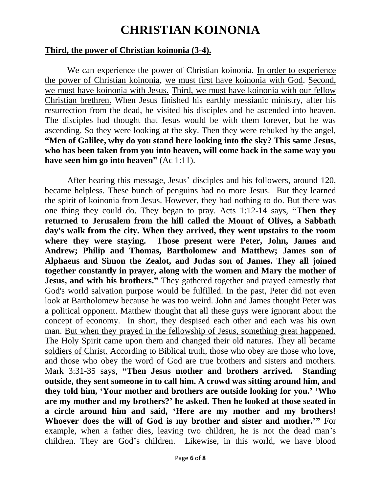### **Third, the power of Christian koinonia (3-4).**

 We can experience the power of Christian koinonia. In order to experience the power of Christian koinonia, we must first have koinonia with God. Second, we must have koinonia with Jesus. Third, we must have koinonia with our fellow Christian brethren. When Jesus finished his earthly messianic ministry, after his resurrection from the dead, he visited his disciples and he ascended into heaven. The disciples had thought that Jesus would be with them forever, but he was ascending. So they were looking at the sky. Then they were rebuked by the angel, **"Men of Galilee, why do you stand here looking into the sky? This same Jesus, who has been taken from you into heaven, will come back in the same way you have seen him go into heaven"** (Ac 1:11).

 After hearing this message, Jesus' disciples and his followers, around 120, became helpless. These bunch of penguins had no more Jesus. But they learned the spirit of koinonia from Jesus. However, they had nothing to do. But there was one thing they could do. They began to pray. Acts 1:12-14 says, **"Then they returned to Jerusalem from the hill called the Mount of Olives, a Sabbath day's walk from the city. When they arrived, they went upstairs to the room where they were staying. Those present were Peter, John, James and Andrew; Philip and Thomas, Bartholomew and Matthew; James son of Alphaeus and Simon the Zealot, and Judas son of James. They all joined together constantly in prayer, along with the women and Mary the mother of Jesus, and with his brothers."** They gathered together and prayed earnestly that God's world salvation purpose would be fulfilled. In the past, Peter did not even look at Bartholomew because he was too weird. John and James thought Peter was a political opponent. Matthew thought that all these guys were ignorant about the concept of economy. In short, they despised each other and each was his own man. But when they prayed in the fellowship of Jesus, something great happened. The Holy Spirit came upon them and changed their old natures. They all became soldiers of Christ. According to Biblical truth, those who obey are those who love, and those who obey the word of God are true brothers and sisters and mothers. Mark 3:31-35 says, **"Then Jesus mother and brothers arrived. Standing outside, they sent someone in to call him. A crowd was sitting around him, and they told him, 'Your mother and brothers are outside looking for you.' 'Who are my mother and my brothers?' he asked. Then he looked at those seated in a circle around him and said, 'Here are my mother and my brothers! Whoever does the will of God is my brother and sister and mother.'"** For example, when a father dies, leaving two children, he is not the dead man's children. They are God's children. Likewise, in this world, we have blood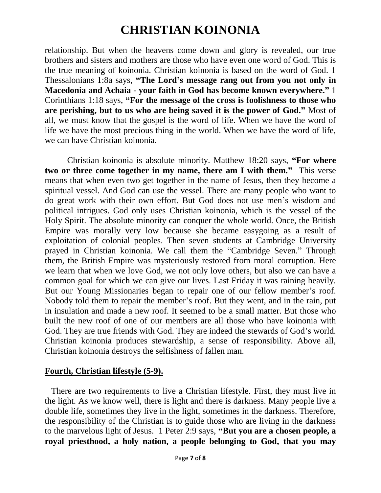relationship. But when the heavens come down and glory is revealed, our true brothers and sisters and mothers are those who have even one word of God. This is the true meaning of koinonia. Christian koinonia is based on the word of God. 1 Thessalonians 1:8a says, **"The Lord's message rang out from you not only in Macedonia and Achaia - your faith in God has become known everywhere."** 1 Corinthians 1:18 says, **"For the message of the cross is foolishness to those who are perishing, but to us who are being saved it is the power of God."** Most of all, we must know that the gospel is the word of life. When we have the word of life we have the most precious thing in the world. When we have the word of life, we can have Christian koinonia.

 Christian koinonia is absolute minority. Matthew 18:20 says, **"For where two or three come together in my name, there am I with them."** This verse means that when even two get together in the name of Jesus, then they become a spiritual vessel. And God can use the vessel. There are many people who want to do great work with their own effort. But God does not use men's wisdom and political intrigues. God only uses Christian koinonia, which is the vessel of the Holy Spirit. The absolute minority can conquer the whole world. Once, the British Empire was morally very low because she became easygoing as a result of exploitation of colonial peoples. Then seven students at Cambridge University prayed in Christian koinonia. We call them the "Cambridge Seven." Through them, the British Empire was mysteriously restored from moral corruption. Here we learn that when we love God, we not only love others, but also we can have a common goal for which we can give our lives. Last Friday it was raining heavily. But our Young Missionaries began to repair one of our fellow member's roof. Nobody told them to repair the member's roof. But they went, and in the rain, put in insulation and made a new roof. It seemed to be a small matter. But those who built the new roof of one of our members are all those who have koinonia with God. They are true friends with God. They are indeed the stewards of God's world. Christian koinonia produces stewardship, a sense of responsibility. Above all, Christian koinonia destroys the selfishness of fallen man.

### **Fourth, Christian lifestyle (5-9).**

 There are two requirements to live a Christian lifestyle. First, they must live in the light. As we know well, there is light and there is darkness. Many people live a double life, sometimes they live in the light, sometimes in the darkness. Therefore, the responsibility of the Christian is to guide those who are living in the darkness to the marvelous light of Jesus. 1 Peter 2:9 says, **"But you are a chosen people, a royal priesthood, a holy nation, a people belonging to God, that you may**